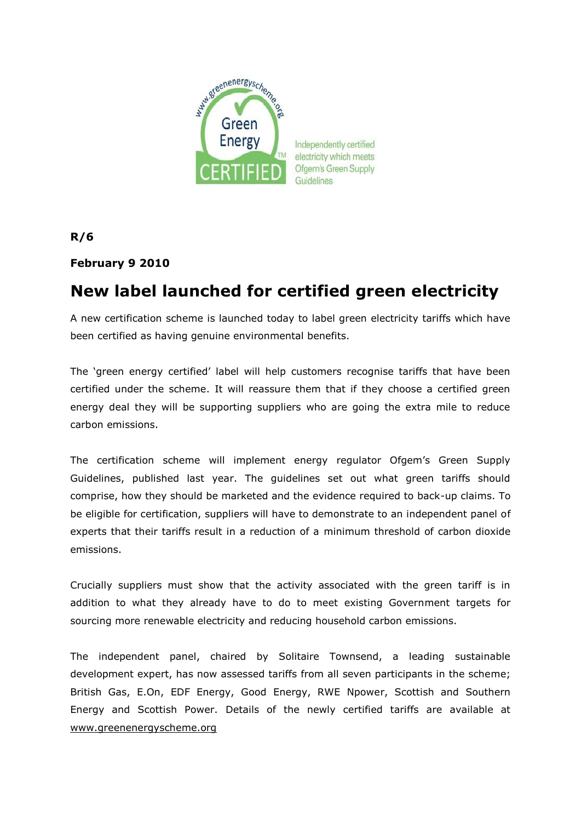

# **R/6**

# **February 9 2010**

# **New label launched for certified green electricity**

A new certification scheme is launched today to label green electricity tariffs which have been certified as having genuine environmental benefits.

The "green energy certified" label will help customers recognise tariffs that have been certified under the scheme. It will reassure them that if they choose a certified green energy deal they will be supporting suppliers who are going the extra mile to reduce carbon emissions.

The certification scheme will implement energy regulator Ofgem"s Green Supply Guidelines, published last year. The guidelines set out what green tariffs should comprise, how they should be marketed and the evidence required to back-up claims. To be eligible for certification, suppliers will have to demonstrate to an independent panel of experts that their tariffs result in a reduction of a minimum threshold of carbon dioxide emissions.

Crucially suppliers must show that the activity associated with the green tariff is in addition to what they already have to do to meet existing Government targets for sourcing more renewable electricity and reducing household carbon emissions.

The independent panel, chaired by Solitaire Townsend, a leading sustainable development expert, has now assessed tariffs from all seven participants in the scheme; British Gas, E.On, EDF Energy, Good Energy, RWE Npower, Scottish and Southern Energy and Scottish Power. Details of the newly certified tariffs are available at [www.greenenergyscheme.org](http://www.greenenergyscheme.org/)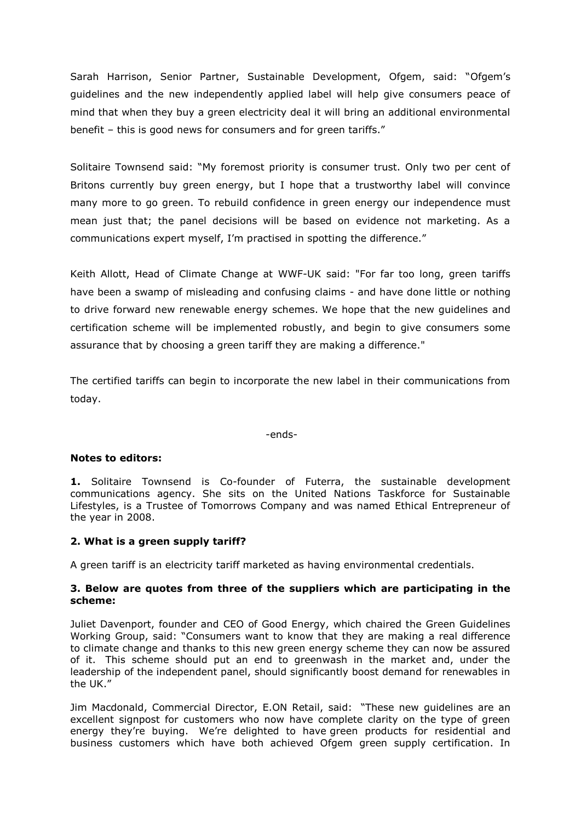Sarah Harrison, Senior Partner, Sustainable Development, Ofgem, said: "Ofgem"s guidelines and the new independently applied label will help give consumers peace of mind that when they buy a green electricity deal it will bring an additional environmental benefit – this is good news for consumers and for green tariffs."

Solitaire Townsend said: "My foremost priority is consumer trust. Only two per cent of Britons currently buy green energy, but I hope that a trustworthy label will convince many more to go green. To rebuild confidence in green energy our independence must mean just that; the panel decisions will be based on evidence not marketing. As a communications expert myself, I'm practised in spotting the difference."

Keith Allott, Head of Climate Change at WWF-UK said: "For far too long, green tariffs have been a swamp of misleading and confusing claims - and have done little or nothing to drive forward new renewable energy schemes. We hope that the new guidelines and certification scheme will be implemented robustly, and begin to give consumers some assurance that by choosing a green tariff they are making a difference."

The certified tariffs can begin to incorporate the new label in their communications from today.

-ends-

# **Notes to editors:**

**1.** Solitaire Townsend is Co-founder of Futerra, the sustainable development communications agency. She sits on the United Nations Taskforce for Sustainable Lifestyles, is a Trustee of Tomorrows Company and was named Ethical Entrepreneur of the year in 2008.

#### **2. What is a green supply tariff?**

A green tariff is an electricity tariff marketed as having environmental credentials.

## **3. Below are quotes from three of the suppliers which are participating in the scheme:**

Juliet Davenport, founder and CEO of Good Energy, which chaired the Green Guidelines Working Group, said: "Consumers want to know that they are making a real difference to climate change and thanks to this new green energy scheme they can now be assured of it. This scheme should put an end to greenwash in the market and, under the leadership of the independent panel, should significantly boost demand for renewables in the UK."

Jim Macdonald, Commercial Director, E.ON Retail, said: "These new guidelines are an excellent signpost for customers who now have complete clarity on the type of green energy they"re buying. We"re delighted to have green products for residential and business customers which have both achieved Ofgem green supply certification. In